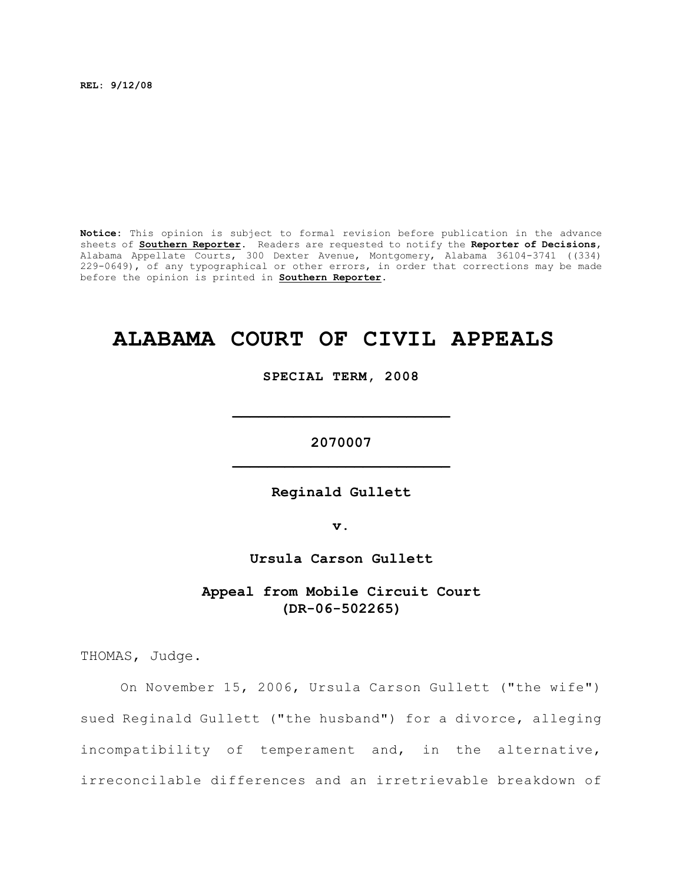**REL: 9/12/08**

**Notice:** This opinion is subject to formal revision before publication in the advance sheets of **Southern Reporter**. Readers are requested to notify the **Reporter of Decisions**, Alabama Appellate Courts, 300 Dexter Avenue, Montgomery, Alabama 36104-3741 ((334) 229-0649), of any typographical or other errors, in order that corrections may be made before the opinion is printed in **Southern Reporter**.

## **ALABAMA COURT OF CIVIL APPEALS**

**SPECIAL TERM, 2008**

**2070007 \_\_\_\_\_\_\_\_\_\_\_\_\_\_\_\_\_\_\_\_\_\_\_\_\_**

**\_\_\_\_\_\_\_\_\_\_\_\_\_\_\_\_\_\_\_\_\_\_\_\_\_**

**Reginald Gullett**

**v.**

**Ursula Carson Gullett**

**Appeal from Mobile Circuit Court (DR-06-502265)**

THOMAS, Judge.

On November 15, 2006, Ursula Carson Gullett ("the wife") sued Reginald Gullett ("the husband") for a divorce, alleging incompatibility of temperament and, in the alternative, irreconcilable differences and an irretrievable breakdown of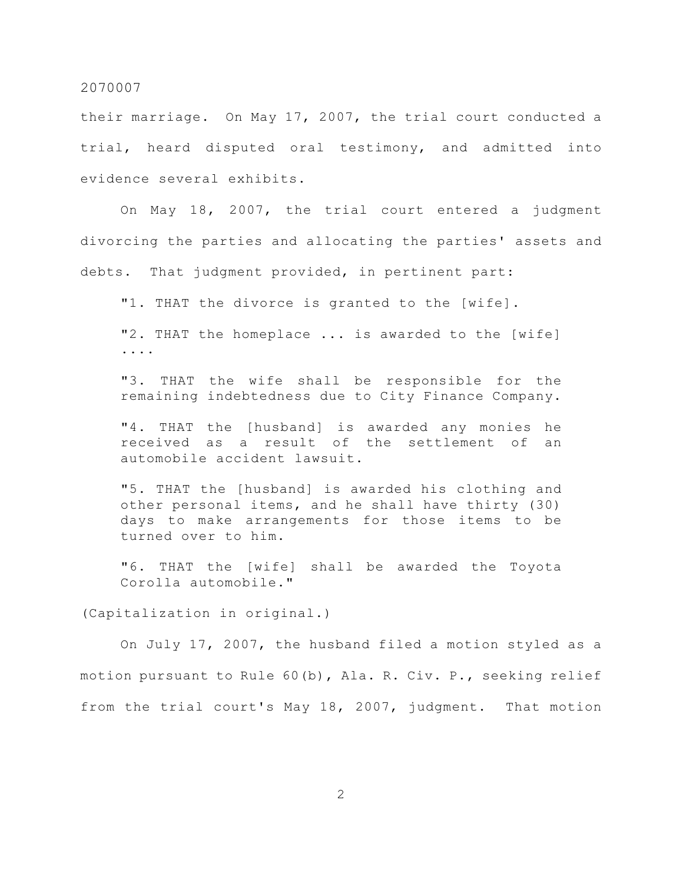their marriage. On May 17, 2007, the trial court conducted a trial, heard disputed oral testimony, and admitted into evidence several exhibits.

On May 18, 2007, the trial court entered a judgment divorcing the parties and allocating the parties' assets and debts. That judgment provided, in pertinent part:

"1. THAT the divorce is granted to the [wife].

"2. THAT the homeplace ... is awarded to the [wife] ....

"3. THAT the wife shall be responsible for the remaining indebtedness due to City Finance Company.

"4. THAT the [husband] is awarded any monies he received as a result of the settlement of an automobile accident lawsuit.

"5. THAT the [husband] is awarded his clothing and other personal items, and he shall have thirty (30) days to make arrangements for those items to be turned over to him.

"6. THAT the [wife] shall be awarded the Toyota Corolla automobile."

(Capitalization in original.)

On July 17, 2007, the husband filed a motion styled as a motion pursuant to Rule 60(b), Ala. R. Civ. P., seeking relief from the trial court's May 18, 2007, judgment. That motion

2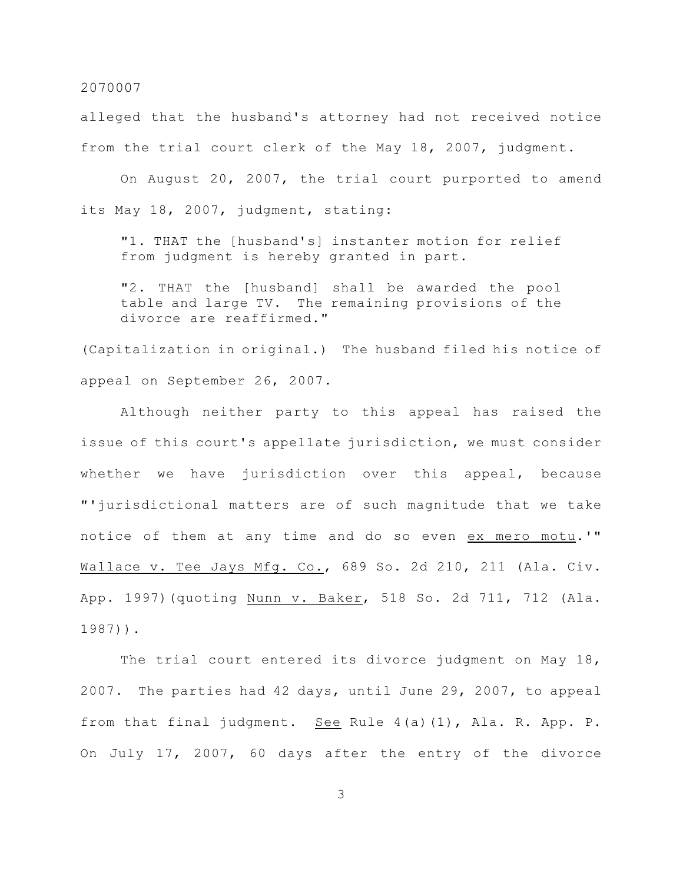alleged that the husband's attorney had not received notice from the trial court clerk of the May 18, 2007, judgment.

On August 20, 2007, the trial court purported to amend its May 18, 2007, judgment, stating:

"1. THAT the [husband's] instanter motion for relief from judgment is hereby granted in part.

"2. THAT the [husband] shall be awarded the pool table and large TV. The remaining provisions of the divorce are reaffirmed."

(Capitalization in original.) The husband filed his notice of appeal on September 26, 2007.

Although neither party to this appeal has raised the issue of this court's appellate jurisdiction, we must consider whether we have jurisdiction over this appeal, because "'jurisdictional matters are of such magnitude that we take notice of them at any time and do so even ex mero motu.'" Wallace v. Tee Jays Mfg. Co., 689 So. 2d 210, 211 (Ala. Civ. App. 1997)(quoting Nunn v. Baker, 518 So. 2d 711, 712 (Ala. 1987)).

The trial court entered its divorce judgment on May 18, 2007. The parties had 42 days, until June 29, 2007, to appeal from that final judgment. See Rule 4(a)(1), Ala. R. App. P. On July 17, 2007, 60 days after the entry of the divorce

3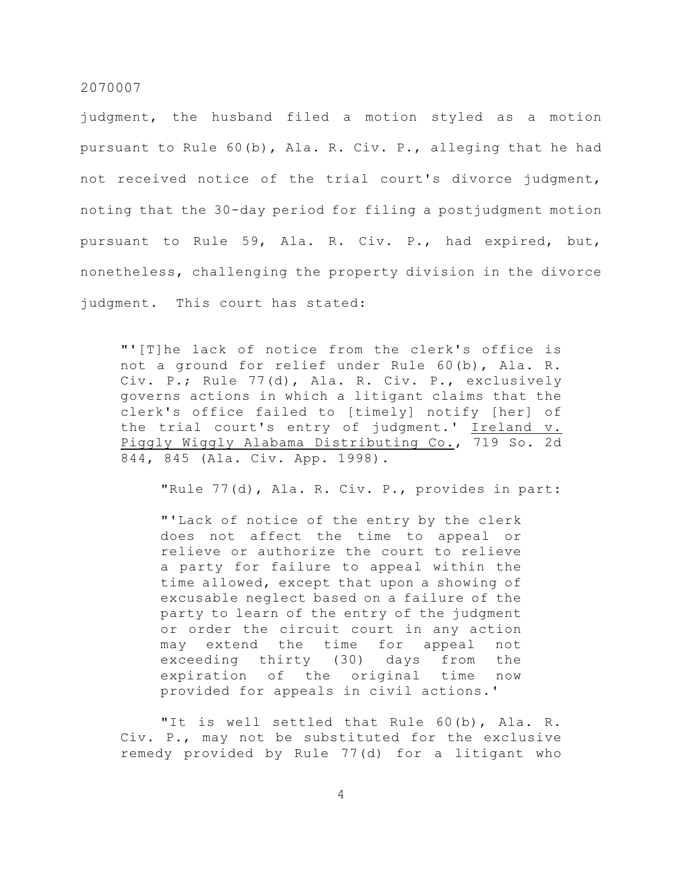judgment, the husband filed a motion styled as a motion pursuant to Rule 60(b), Ala. R. Civ. P., alleging that he had not received notice of the trial court's divorce judgment, noting that the 30-day period for filing a postjudgment motion pursuant to Rule 59, Ala. R. Civ. P., had expired, but, nonetheless, challenging the property division in the divorce judgment. This court has stated:

"'[T]he lack of notice from the clerk's office is not a ground for relief under Rule 60(b), Ala. R. Civ. P.; Rule 77(d), Ala. R. Civ. P., exclusively governs actions in which a litigant claims that the clerk's office failed to [timely] notify [her] of the trial court's entry of judgment.' Ireland v. Piggly Wiggly Alabama Distributing Co., 719 So. 2d 844, 845 (Ala. Civ. App. 1998).

"Rule 77(d), Ala. R. Civ. P., provides in part:

"'Lack of notice of the entry by the clerk does not affect the time to appeal or relieve or authorize the court to relieve a party for failure to appeal within the time allowed, except that upon a showing of excusable neglect based on a failure of the party to learn of the entry of the judgment or order the circuit court in any action may extend the time for appeal not exceeding thirty (30) days from the expiration of the original time now provided for appeals in civil actions.'

"It is well settled that Rule 60(b), Ala. R. Civ. P., may not be substituted for the exclusive remedy provided by Rule 77(d) for a litigant who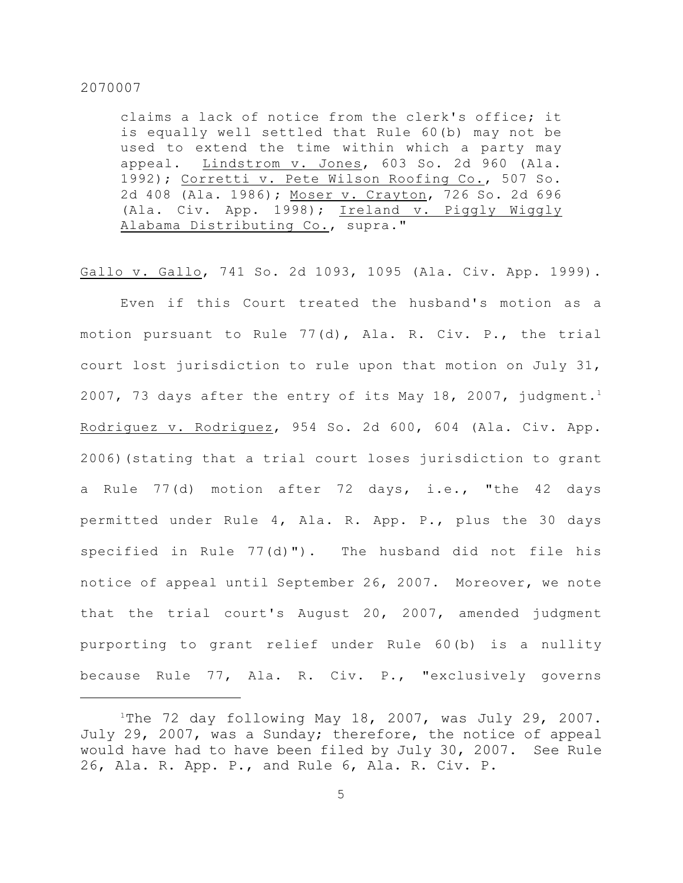claims a lack of notice from the clerk's office; it is equally well settled that Rule 60(b) may not be used to extend the time within which a party may appeal. Lindstrom v. Jones, 603 So. 2d 960 (Ala. 1992); Corretti v. Pete Wilson Roofing Co., 507 So. 2d 408 (Ala. 1986); Moser v. Crayton, 726 So. 2d 696 (Ala. Civ. App. 1998); Ireland v. Piggly Wiggly Alabama Distributing Co., supra."

Gallo v. Gallo, 741 So. 2d 1093, 1095 (Ala. Civ. App. 1999).

Even if this Court treated the husband's motion as a motion pursuant to Rule 77(d), Ala. R. Civ. P., the trial court lost jurisdiction to rule upon that motion on July 31, 2007, 73 days after the entry of its May 18, 2007, judgment.<sup>1</sup> Rodriguez v. Rodriguez, 954 So. 2d 600, 604 (Ala. Civ. App. 2006)(stating that a trial court loses jurisdiction to grant a Rule 77(d) motion after 72 days, i.e., "the 42 days permitted under Rule 4, Ala. R. App. P., plus the 30 days specified in Rule 77(d)"). The husband did not file his notice of appeal until September 26, 2007. Moreover, we note that the trial court's August 20, 2007, amended judgment purporting to grant relief under Rule 60(b) is a nullity because Rule 77, Ala. R. Civ. P., "exclusively governs

<sup>&</sup>lt;sup>1</sup>The 72 day following May 18, 2007, was July 29, 2007. July 29, 2007, was a Sunday; therefore, the notice of appeal would have had to have been filed by July 30, 2007. See Rule 26, Ala. R. App. P., and Rule 6, Ala. R. Civ. P.